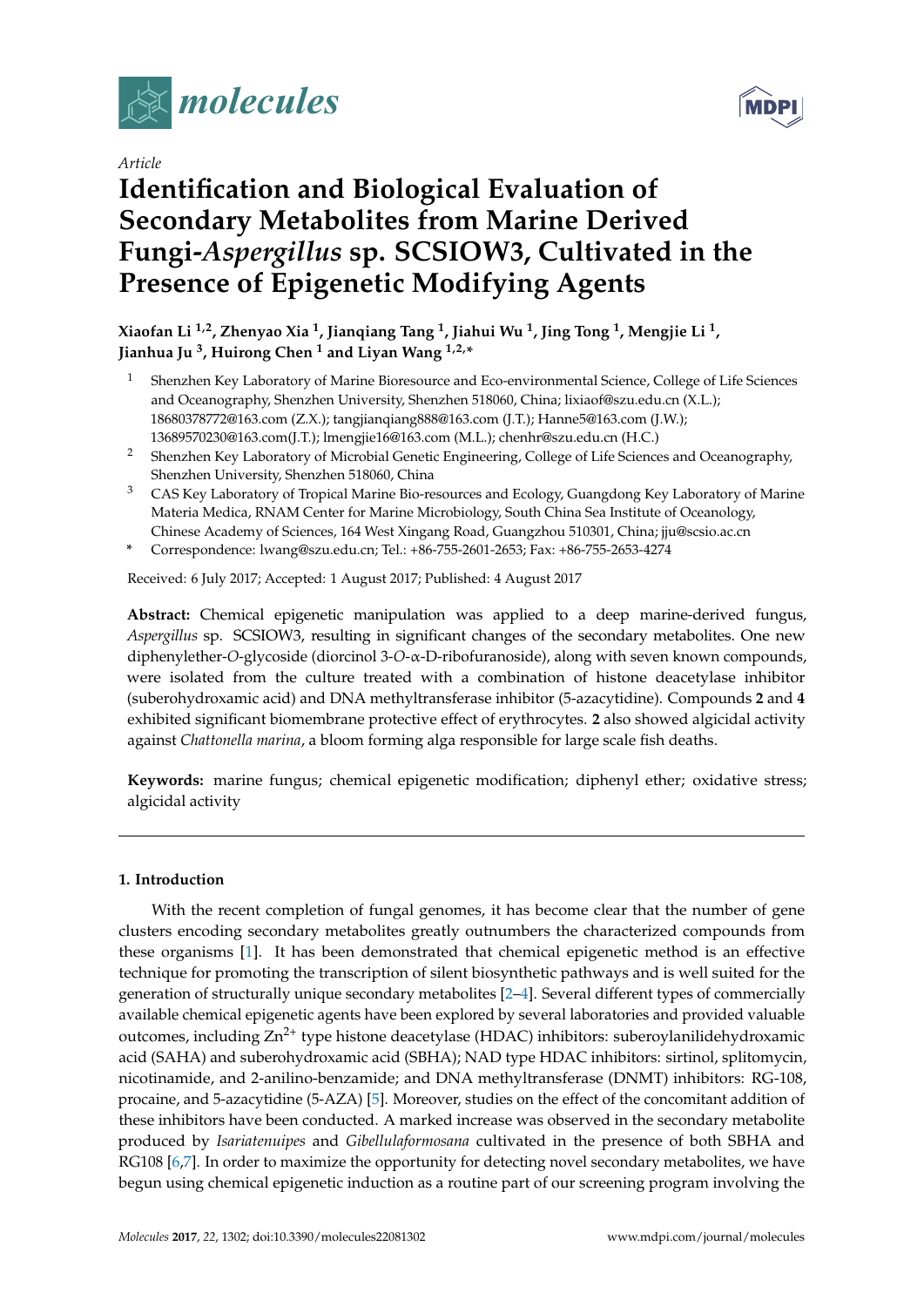

*Article*

# **Identification and Biological Evaluation of Secondary Metabolites from Marine Derived Fungi-***Aspergillus* **sp. SCSIOW3, Cultivated in the Presence of Epigenetic Modifying Agents**

**Xiaofan Li 1,2, Zhenyao Xia <sup>1</sup> , Jianqiang Tang <sup>1</sup> , Jiahui Wu <sup>1</sup> , Jing Tong <sup>1</sup> , Mengjie Li <sup>1</sup> , Jianhua Ju <sup>3</sup> , Huirong Chen <sup>1</sup> and Liyan Wang 1,2,\***

- <sup>1</sup> Shenzhen Key Laboratory of Marine Bioresource and Eco-environmental Science, College of Life Sciences and Oceanography, Shenzhen University, Shenzhen 518060, China; lixiaof@szu.edu.cn (X.L.); 18680378772@163.com (Z.X.); tangjianqiang888@163.com (J.T.); Hanne5@163.com (J.W.); 13689570230@163.com(J.T.); lmengjie16@163.com (M.L.); chenhr@szu.edu.cn (H.C.)
- <sup>2</sup> Shenzhen Key Laboratory of Microbial Genetic Engineering, College of Life Sciences and Oceanography, Shenzhen University, Shenzhen 518060, China
- <sup>3</sup> CAS Key Laboratory of Tropical Marine Bio-resources and Ecology, Guangdong Key Laboratory of Marine Materia Medica, RNAM Center for Marine Microbiology, South China Sea Institute of Oceanology, Chinese Academy of Sciences, 164 West Xingang Road, Guangzhou 510301, China; jju@scsio.ac.cn
- **\*** Correspondence: lwang@szu.edu.cn; Tel.: +86-755-2601-2653; Fax: +86-755-2653-4274

Received: 6 July 2017; Accepted: 1 August 2017; Published: 4 August 2017

**Abstract:** Chemical epigenetic manipulation was applied to a deep marine-derived fungus, *Aspergillus* sp. SCSIOW3, resulting in significant changes of the secondary metabolites. One new diphenylether-*O*-glycoside (diorcinol 3-*O*-α-D-ribofuranoside), along with seven known compounds, were isolated from the culture treated with a combination of histone deacetylase inhibitor (suberohydroxamic acid) and DNA methyltransferase inhibitor (5-azacytidine). Compounds **2** and **4** exhibited significant biomembrane protective effect of erythrocytes. **2** also showed algicidal activity against *Chattonella marina*, a bloom forming alga responsible for large scale fish deaths.

**Keywords:** marine fungus; chemical epigenetic modification; diphenyl ether; oxidative stress; algicidal activity

# **1. Introduction**

With the recent completion of fungal genomes, it has become clear that the number of gene clusters encoding secondary metabolites greatly outnumbers the characterized compounds from these organisms [\[1\]](#page-7-0). It has been demonstrated that chemical epigenetic method is an effective technique for promoting the transcription of silent biosynthetic pathways and is well suited for the generation of structurally unique secondary metabolites [\[2–](#page-7-1)[4\]](#page-7-2). Several different types of commercially available chemical epigenetic agents have been explored by several laboratories and provided valuable outcomes, including  $Zn^{2+}$  type histone deacetylase (HDAC) inhibitors: suberoylanilidehydroxamic acid (SAHA) and suberohydroxamic acid (SBHA); NAD type HDAC inhibitors: sirtinol, splitomycin, nicotinamide, and 2-anilino-benzamide; and DNA methyltransferase (DNMT) inhibitors: RG-108, procaine, and 5-azacytidine (5-AZA) [\[5\]](#page-7-3). Moreover, studies on the effect of the concomitant addition of these inhibitors have been conducted. A marked increase was observed in the secondary metabolite produced by *Isariatenuipes* and *Gibellulaformosana* cultivated in the presence of both SBHA and RG108 [\[6](#page-7-4)[,7\]](#page-7-5). In order to maximize the opportunity for detecting novel secondary metabolites, we have begun using chemical epigenetic induction as a routine part of our screening program involving the

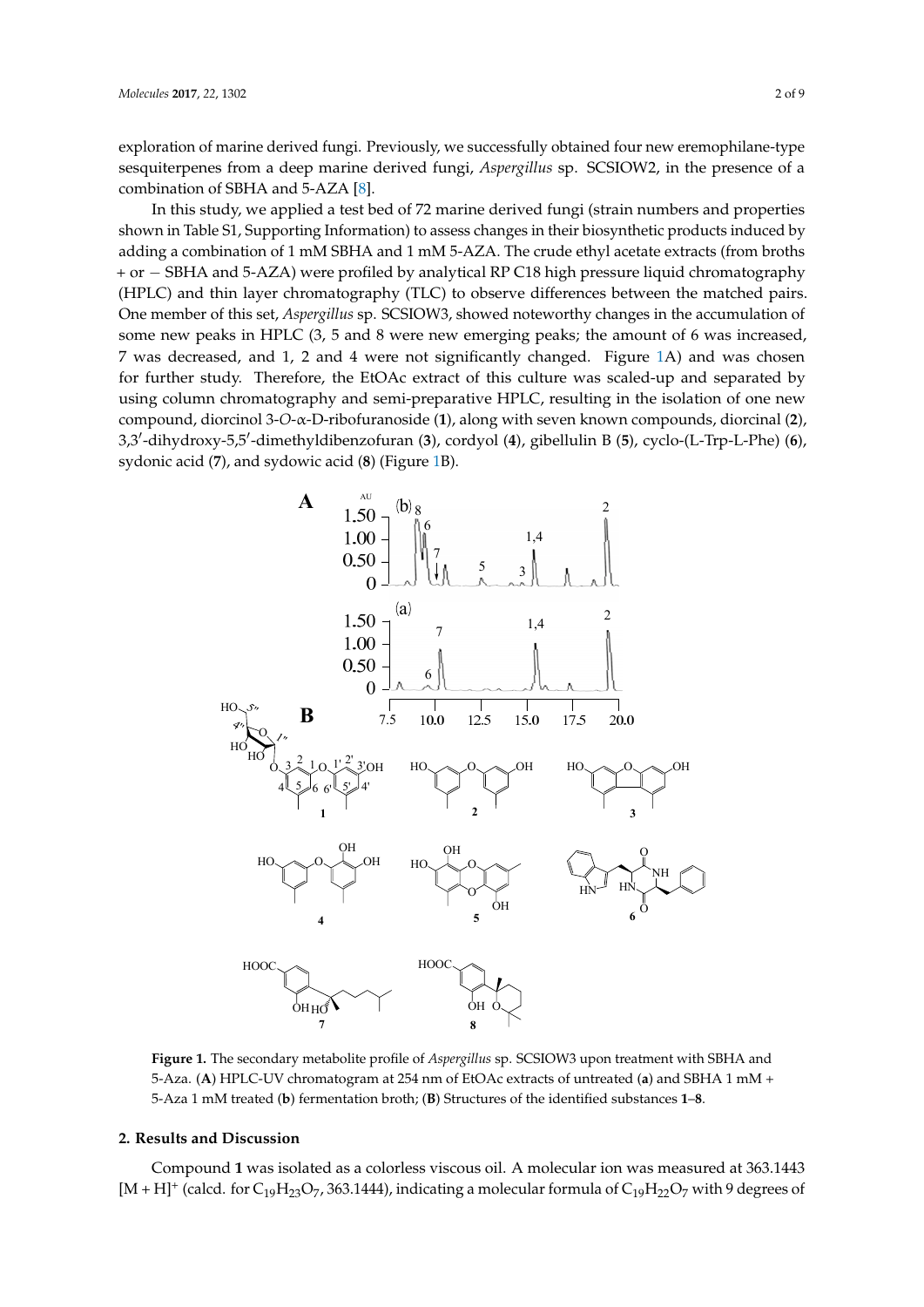exploration of marine derived fungi. Previously, we successfully obtained four new eremophilane-type sesquiterpenes from a deep marine derived fungi, Aspergillus sp. SCSIOW2, in the presence of a combination of SBHA and 5-AZA [\[8\]](#page-7-6).

In this study, we applied a test bed of 72 marine derived fungi (strain numbers and properties In this study, we applied a test bed of 72 marine derived fungi (strain numbers and properties shown in Table S1, Supporting Information) to assess changes in their biosynthetic products induced by shown in Table S1, Supporting Information) to assess changes in their biosynthetic products induced adding a combination of 1 mM SBHA and 1 mM 5-AZA. The crude ethyl acetate extracts (from broths + or − SBHA and 5-AZA) were profiled by analytical RP C18 high pressure liquid chromatography (HPLC) and thin layer chromatography (TLC) to observe differences between the matched pairs. One member of this set, *Aspergillus* sp. SCSIOW3, showed noteworthy changes in the accumulation of some new peaks in HPLC (3, 5 and 8 were new emerging peaks; the amount of 6 was increased, 7 was decreased, and 1, 2 and 4 were not significantly changed. Figure [1A](#page-1-0)) and was chosen for further study. Therefore, the EtOAc extract of this culture was scaled-up and separated by using column chromatography and semi-preparative HPLC, resulting in the isolation of one new compound, diorcinol 3-O-a-D-ribofuranoside (1), along with seven known compounds, diorcinal (2), 3,3'-dihydroxy-5,5'-dimethyldibenzofuran (3), cordyol (4), gibellulin B (5), cyclo-(L-Trp-L-Phe) (6), sydonic acid (**7**), and sydowic acid (**8**) (Figure [1B](#page-1-0)). sydonic acid (**7**), and sydowic acid (**8**) (Figure 1B).

<span id="page-1-0"></span>

**Figure 1.** The secondary metabolite profile of *Aspergillus* sp. SCSIOW3 upon treatment with SBHA **Figure 1.** The secondary metabolite profile of *Aspergillus* sp. SCSIOW3 upon treatment with SBHA and and 5-Aza. (**A**) HPLC-UV chromatogram at 254 nm of EtOAc extracts of untreated (**a**) and SBHA 1 5-Aza. (**A**) HPLC-UV chromatogram at 254 nm of EtOAc extracts of untreated (**a**) and SBHA 1 mM + 5-Aza 1 mM treated (**b**) fermentation broth; (**B**) Structures of the identified substances  $1$ –8.

# **2. Results and Discussion 2. Results and Discussion**

Compound **1** was isolated as a colorless viscous oil. A molecular ion was measured at Compound **1** was isolated as a colorless viscous oil. A molecular ion was measured at 363.1443  $[M+H]^+$  (calcd. for C<sub>19</sub>H<sub>23</sub>O<sub>7</sub>, 363.1444), indicating a molecular formula of C<sub>19</sub>H<sub>22</sub>O<sub>7</sub> with 9 degrees of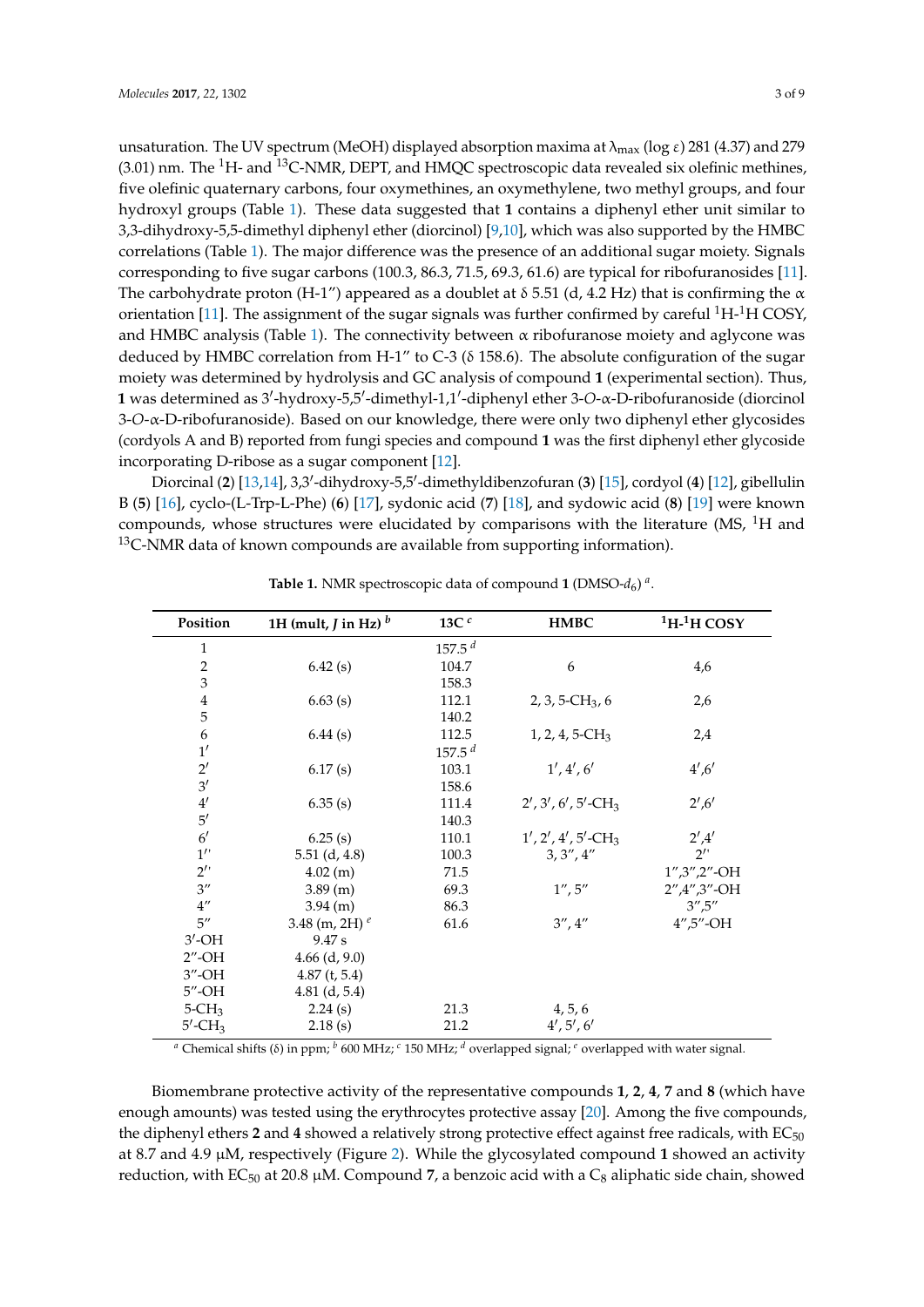correlations (Table [1\)](#page-2-0). The major difference was the presence of an additional sugar moiety. Signals corresponding to five sugar carbons (100.3, 86.3, 71.5, 69.3, 61.6) are typical for ribofuranosides [\[11\]](#page-7-9). The carbohydrate proton (H-1") appeared as a doublet at  $\delta$  5.51 (d, 4.2 Hz) that is confirming the  $\alpha$ orientation [\[11\]](#page-7-9). The assignment of the sugar signals was further confirmed by careful  ${}^{1}H-{}^{1}H$  COSY, and HMBC analysis (Table [1\)](#page-2-0). The connectivity between  $\alpha$  ribofuranose moiety and aglycone was deduced by HMBC correlation from H-1" to C-3 ( $\delta$  158.6). The absolute configuration of the sugar moiety was determined by hydrolysis and GC analysis of compound **1** (experimental section). Thus, 1 was determined as 3'-hydroxy-5,5'-dimethyl-1,1'-diphenyl ether 3-O-α-D-ribofuranoside (diorcinol 3-*O*-α-D-ribofuranoside). Based on our knowledge, there were only two diphenyl ether glycosides (cordyols A and B) reported from fungi species and compound **1** was the first diphenyl ether glycoside incorporating D-ribose as a sugar component [\[12\]](#page-7-10).

Diorcinal (2) [\[13](#page-7-11)[,14\]](#page-7-12), 3,3'-dihydroxy-5,5'-dimethyldibenzofuran (3) [\[15\]](#page-7-13), cordyol (4) [\[12\]](#page-7-10), gibellulin B (**5**) [\[16\]](#page-7-14), cyclo-(L-Trp-L-Phe) (**6**) [\[17\]](#page-7-15), sydonic acid (**7**) [\[18\]](#page-8-0), and sydowic acid (**8**) [\[19\]](#page-8-1) were known compounds, whose structures were elucidated by comparisons with the literature (MS,  ${}^{1}$ H and  $13$ C-NMR data of known compounds are available from supporting information).

<span id="page-2-0"></span>

| Position               | 1H (mult, $J$ in Hz) <sup><math>b</math></sup> | 13C $c$            | HMBC                              | $1H-1H$ COSY              |
|------------------------|------------------------------------------------|--------------------|-----------------------------------|---------------------------|
| $\mathbf{1}$           |                                                | 157.5 <sup>d</sup> |                                   |                           |
| $\,2$                  | 6.42(s)                                        | 104.7              | 6                                 | 4,6                       |
| 3                      |                                                | 158.3              |                                   |                           |
| $\boldsymbol{4}$       | 6.63(s)                                        | 112.1              | $2, 3, 5$ -CH <sub>3</sub> , 6    | 2,6                       |
| 5                      |                                                | 140.2              |                                   |                           |
| 6                      | 6.44(s)                                        | 112.5              | $1, 2, 4, 5$ -CH <sub>3</sub>     | 2,4                       |
| 1'                     |                                                | 157.5 <sup>d</sup> |                                   |                           |
| $2^{\prime}$           | 6.17(s)                                        | 103.1              | 1', 4', 6'                        | 4', 6'                    |
| 3'                     |                                                | 158.6              |                                   |                           |
| 4'                     | 6.35(s)                                        | 111.4              | $2', 3', 6', 5'$ -CH <sub>3</sub> | 2', 6'                    |
| 5'                     |                                                | 140.3              |                                   |                           |
| $6^{\prime}$           | 6.25(s)                                        | 110.1              | $1', 2', 4', 5'$ -CH <sub>3</sub> | $2^{\prime}$ ,4'          |
| $1^{\prime}$           | $5.51$ (d, 4.8)                                | 100.3              | 3, 3'', 4''                       | $2^{\prime}$              |
| $2^{\prime}$           | 4.02(m)                                        | 71.5               |                                   | $1'', 3'', 2''$ -OH       |
| $3^{\prime\prime}$     | $3.89$ (m)                                     | 69.3               | 1'', 5''                          | $2''$ , $4''$ , $3''$ -OH |
| $4^{\prime\prime}$     | 3.94 (m)                                       | 86.3               |                                   | 3'', 5''                  |
| $5^{\prime\prime}$     | 3.48 (m, 2H) $^e$                              | 61.6               | 3'', 4''                          | $4''$ , 5"-OH             |
| $3'$ -OH               | 9.47 s                                         |                    |                                   |                           |
| $2^{\prime\prime}$ -OH | $4.66$ (d, 9.0)                                |                    |                                   |                           |
| $3^{\prime\prime}$ -OH | $4.87$ (t, 5.4)                                |                    |                                   |                           |
| $5^{\prime\prime}$ -OH | $4.81$ (d, 5.4)                                |                    |                                   |                           |
| $5 - CH3$              | 2.24(s)                                        | 21.3               | 4, 5, 6                           |                           |
| $5'$ -CH <sub>3</sub>  | 2.18(s)                                        | 21.2               | 4', 5', 6'                        |                           |

**Table 1.** NMR spectroscopic data of compound **1** (DMSO-*d*<sup>6</sup> ) *a* .

*<sup>a</sup>* Chemical shifts (δ) in ppm; *<sup>b</sup>* 600 MHz; *<sup>c</sup>* 150 MHz; *<sup>d</sup>* overlapped signal; *<sup>e</sup>* overlapped with water signal.

Biomembrane protective activity of the representative compounds **1**, **2**, **4**, **7** and **8** (which have enough amounts) was tested using the erythrocytes protective assay [\[20\]](#page-8-2). Among the five compounds, the diphenyl ethers  $2$  and  $4$  showed a relatively strong protective effect against free radicals, with  $EC_{50}$ at 8.7 and 4.9 µM, respectively (Figure [2\)](#page-3-0). While the glycosylated compound **1** showed an activity reduction, with EC<sub>50</sub> at 20.8  $\mu$ M. Compound 7, a benzoic acid with a C<sub>8</sub> aliphatic side chain, showed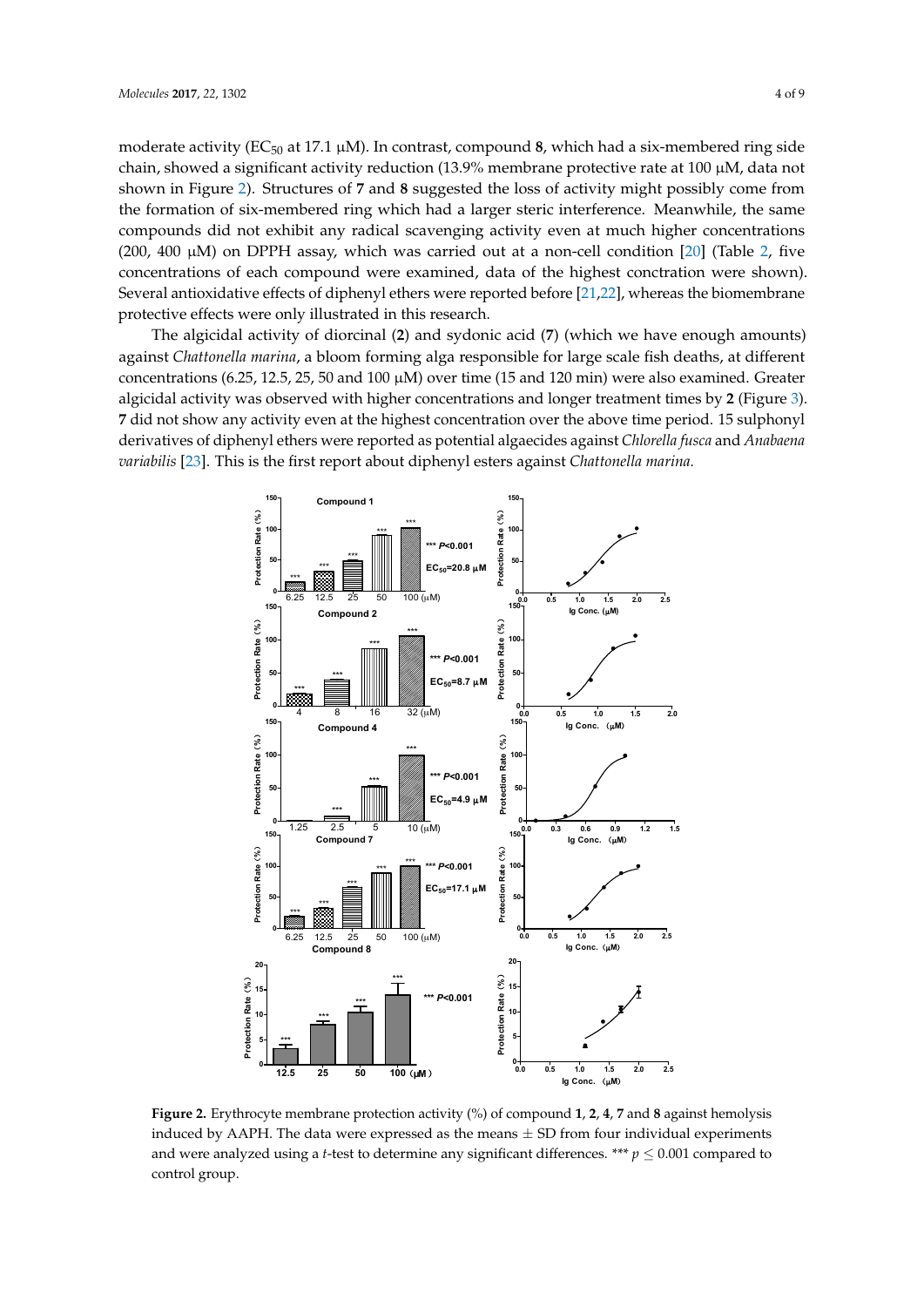moderate activity (EC<sub>50</sub> at 17.1 µM). In contrast, compound 8, which had a six-membered ring side chain, showed a significant activity reduction (13.9% membrane protective rate at 100  $\mu$ M, data not shown in Figure [2\)](#page-3-0). Structures of **7** and **8** suggested the loss of activity might possibly come from the formation of six-membered ring which had a larger steric interference. Meanwhile, the same compounds did not exhibit any radical scavenging activity even at much higher concentrations  $(200, 400 \mu M)$  on DPPH assay, which was carried out at a non-cell condition  $[20]$  (Table [2,](#page-4-0) five  $concentrations$  of each compound were examined, data of the highest conctration were shown). Several antioxidative effects of diphenyl ethers were reported before [\[21,](#page-8-3)[22\]](#page-8-4), whereas the biomembrane protective effects were only illustrated in this research. rate at 100 μM, data not shown in Figure 2). Structures of **7** and **8** suggested the loss of activity

The algicidal activity of diorcinal (**2**) and sydonic acid (**7**) (which we have enough amounts) The algicidal activity of diorcinal (**2**) and sydonic acid (**7**) (which we have enough amounts) against *Chattonella marina*, a bloom forming alga responsible for large scale fish deaths, at different against *Chattonella marina*, a bloom forming alga responsible for large scale fish deaths, at different concentrations (6.25, 12.5, 25, 50 and 100 µM) over time (15 and 120 min) were also examined. Greater concentrations (6.25, 12.5, 25, 50 and 100 μM) over time (15 and 120 min) were also examined. Greater algicidal activity was observed with higher concentrations and longer treatment times by **2** (Figure [3\)](#page-4-1). algicidal activity was observed with higher concentrations and longer treatment times by **2** (Figure 3). **7** did not show any activity even at the highest concentration over the above time period. 15 sulphonyl **7** did not show any activity even at the highest concentration over the above time period. 15 derivatives of diphenyl ethers were reported as potential algaecides against Chlorella fusca and Anabaena variabilis [\[23\]](#page-8-5). This is the first report about diphenyl esters against *Chattonella marina*.

<span id="page-3-0"></span>

**Figure 2.** Erythrocyte membrane protection activity (%) of compound <mark>1, 2, 4, 7</mark> and **8** against hemolysis induced by AAPH. The data were expressed as the means  $\pm$  SD from four individual experiments and were analyzed using a *t*-test to determine any significant differences. \*\*\*  $p \leq 0.001$  compared to control group.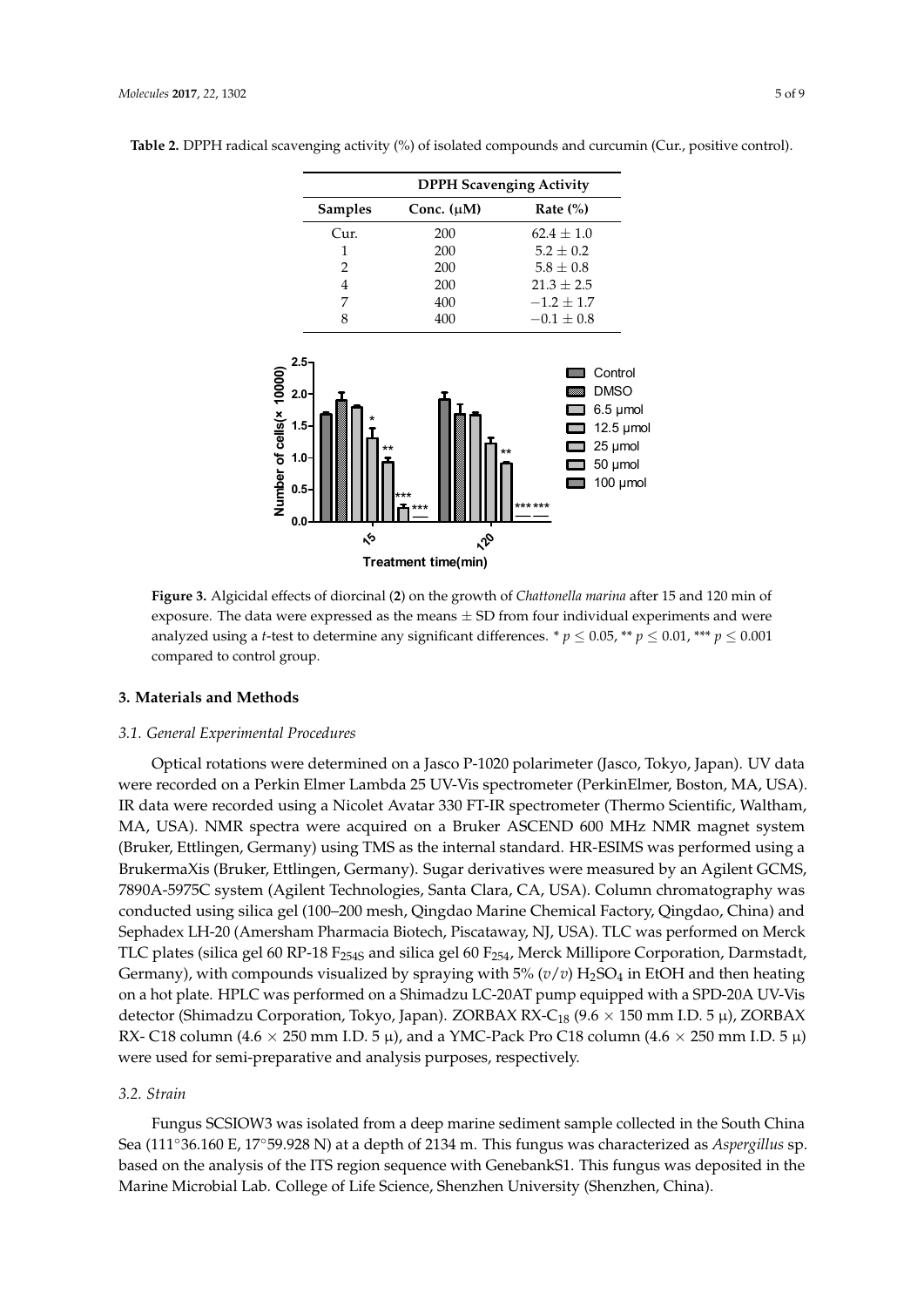|                | <b>DPPH Scavenging Activity</b> |                |  |
|----------------|---------------------------------|----------------|--|
| <b>Samples</b> | Conc. $(\mu M)$                 | Rate $(\% )$   |  |
| Cur.           | 200                             | $62.4 + 1.0$   |  |
| 1              | 200                             | $5.2 + 0.2$    |  |
| 2              | 200                             | $5.8 \pm 0.8$  |  |
| 4              | 200                             | $21.3 + 2.5$   |  |
|                | 400                             | $-1.2 + 1.7$   |  |
|                | 400                             | $-0.1 \pm 0.8$ |  |

<span id="page-4-0"></span>**Table 2.** DPPH radical scavenging activity (%) of isolated compounds and curcumin (Cur., positive control).

<span id="page-4-1"></span>

exposure. The data were expressed as the means  $\pm$  SD from four individual experiments and were explored using a t toot to determine any significant differences  $* n < 0.05$   $* n < 0.01$   $* n < 0.001$ analyzed using a *t*-test to determine any significant differences. \*  $p \le 0.05$ , \*\*  $p \le 0.01$ , \*\*\*  $p \le 0.001$ <br>compared to control group.  $\frac{1}{1}$  **p**  $\frac{1}{2}$  **p**  $\frac{1}{1}$ **Figure 3.** Algicidal effects of diorcinal (**2**) on the growth of *Chattonella marina* after 15 and 120 min of compared to control group.

# **4. Materials and Methods 3. Materials and Methods**

#### *4.1. General Experimental Procedures 3.1. General Experimental Procedures*

were recorded on a Perkin Elmer Lambda 25 UV-Vis spectrometer (PerkinElmer, Boston, MA, USA). IR data were recorded using a Nicolet Avatar 330 FT-IR spectrometer (Thermo Scientific, Waltham, MA, USA). NMR spectra were acquired on a Bruker ASCEND 600 MHz NMR magnet system (Bruker, Ettlingen, Germany) using TMS as the internal standard. HR-ESIMS was performed using a BrukermaXis (Bruker, Ettlingen, Germany). Sugar derivatives were measured by an Agilent GCMS, 7890A-5975C system (Agilent Technologies, Santa Clara, CA, USA). Column chromatography was conducted using silica gel (100–200 mesh, Qingdao Marine Chemical Factory, Qingdao, China) and Sephadex LH-20 (Amersham Pharmacia Biotech, Piscataway, NJ, USA). TLC was performed on Merck TLC plates (silica gel 60 RP-18 F<sub>254S</sub> and silica gel 60 F<sub>254</sub>, Merck Millipore Corporation, Darmstadt, Germany), with compounds visualized by spraying with 5% ( $v/v$ ) H<sub>2</sub>SO<sub>4</sub> in EtOH and then heating on a hot plate. HPLC was performed on a Shimadzu LC-20AT pump equipped with a SPD-20A UV-Vis detector (Shimadzu Corporation, Tokyo, Japan). ZORBAX RX-C<sub>18</sub> (9.6  $\times$  150 mm I.D. 5  $\mu$ ), ZORBAX RX- C18 column (4.6  $\times$  250 mm I.D. 5  $\mu$ ), and a YMC-Pack Pro C18 column (4.6  $\times$  250 mm I.D. 5  $\mu$ )  $\frac{1}{2}$ were used for semi-preparative and analysis purposes, respectively. Optical rotations were determined on a Jasco P-1020 polarimeter (Jasco, Tokyo, Japan). UV data

### *3.2. Strain*

*4.2. Strain*  Sea (111°36.160 E, 17°59.928 N) at a depth of 2134 m. This fungus was characterized as *Aspergillus* sp. based on the analysis of the ITS region sequence with GenebankS1. This fungus was deposited in the Fungus SCSIOW3 was isolated from a deep marine sediment sample collected in the South China Marine Microbial Lab. College of Life Science, Shenzhen University (Shenzhen, China).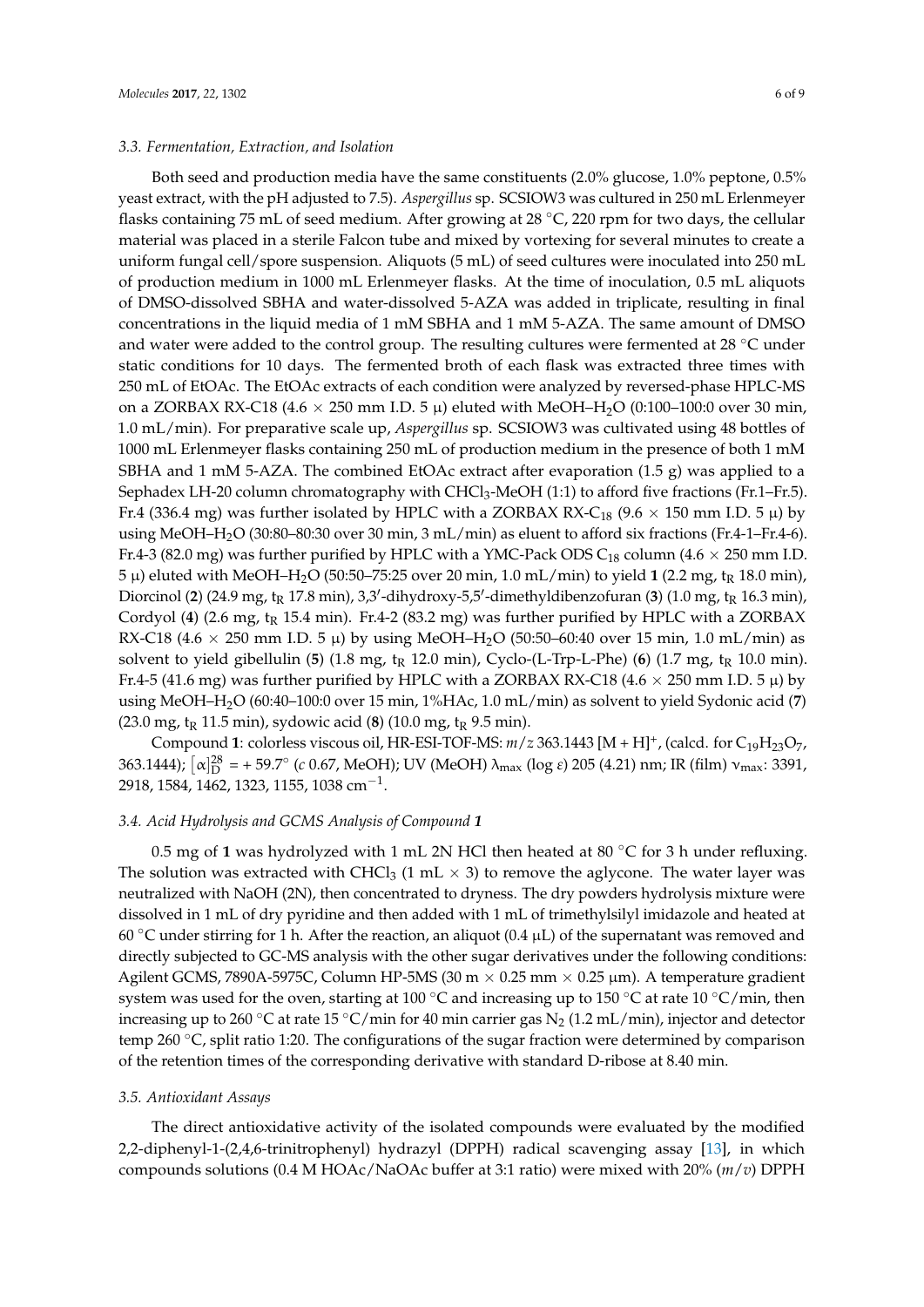#### *3.3. Fermentation, Extraction, and Isolation*

Both seed and production media have the same constituents (2.0% glucose, 1.0% peptone, 0.5% yeast extract, with the pH adjusted to 7.5). *Aspergillus* sp. SCSIOW3 was cultured in 250 mL Erlenmeyer flasks containing 75 mL of seed medium. After growing at 28 ◦C, 220 rpm for two days, the cellular material was placed in a sterile Falcon tube and mixed by vortexing for several minutes to create a uniform fungal cell/spore suspension. Aliquots (5 mL) of seed cultures were inoculated into 250 mL of production medium in 1000 mL Erlenmeyer flasks. At the time of inoculation, 0.5 mL aliquots of DMSO-dissolved SBHA and water-dissolved 5-AZA was added in triplicate, resulting in final concentrations in the liquid media of 1 mM SBHA and 1 mM 5-AZA. The same amount of DMSO and water were added to the control group. The resulting cultures were fermented at 28 ◦C under static conditions for 10 days. The fermented broth of each flask was extracted three times with 250 mL of EtOAc. The EtOAc extracts of each condition were analyzed by reversed-phase HPLC-MS on a ZORBAX RX-C18 (4.6  $\times$  250 mm I.D. 5  $\mu$ ) eluted with MeOH–H<sub>2</sub>O (0:100–100:0 over 30 min, 1.0 mL/min). For preparative scale up, *Aspergillus* sp. SCSIOW3 was cultivated using 48 bottles of 1000 mL Erlenmeyer flasks containing 250 mL of production medium in the presence of both 1 mM SBHA and 1 mM 5-AZA. The combined EtOAc extract after evaporation (1.5 g) was applied to a Sephadex LH-20 column chromatography with  $CHCl<sub>3</sub>$ -MeOH (1:1) to afford five fractions (Fr.1–Fr.5). Fr.4 (336.4 mg) was further isolated by HPLC with a ZORBAX RX-C<sub>18</sub> (9.6  $\times$  150 mm I.D. 5  $\mu$ ) by using MeOH–H2O (30:80–80:30 over 30 min, 3 mL/min) as eluent to afford six fractions (Fr.4-1–Fr.4-6). Fr.4-3 (82.0 mg) was further purified by HPLC with a YMC-Pack ODS  $C_{18}$  column (4.6  $\times$  250 mm I.D. 5 μ) eluted with MeOH–H<sub>2</sub>O (50:50–75:25 over 20 min, 1.0 mL/min) to yield 1 (2.2 mg, t<sub>R</sub> 18.0 min), Diorcinol (2) (24.9 mg, t<sub>R</sub> 17.8 min), 3,3'-dihydroxy-5,5'-dimethyldibenzofuran (3) (1.0 mg, t<sub>R</sub> 16.3 min), Cordyol (4) (2.6 mg, t<sub>R</sub> 15.4 min). Fr.4-2 (83.2 mg) was further purified by HPLC with a ZORBAX RX-C18 (4.6  $\times$  250 mm I.D. 5  $\mu$ ) by using MeOH–H<sub>2</sub>O (50:50–60:40 over 15 min, 1.0 mL/min) as solvent to yield gibellulin (5) (1.8 mg, t<sub>R</sub> 12.0 min), Cyclo-(L-Trp-L-Phe) (6) (1.7 mg, t<sub>R</sub> 10.0 min). Fr.4-5 (41.6 mg) was further purified by HPLC with a ZORBAX RX-C18 (4.6  $\times$  250 mm I.D. 5  $\mu$ ) by using MeOH–H2O (60:40–100:0 over 15 min, 1%HAc, 1.0 mL/min) as solvent to yield Sydonic acid (**7**)  $(23.0 \text{ mg}, t_R 11.5 \text{ min})$ , sydowic acid  $(8)$   $(10.0 \text{ mg}, t_R 9.5 \text{ min})$ .

Compound 1: colorless viscous oil, HR-ESI-TOF-MS:  $m/z$  363.1443 [M + H]<sup>+</sup>, (calcd. for C<sub>19</sub>H<sub>23</sub>O<sub>7</sub>, 363.1444);  $\left[\alpha\right]_D^{28}$  = + 59.7° (*c* 0.67, MeOH); UV (MeOH) λ<sub>max</sub> (log *ε*) 205 (4.21) nm; IR (film) ν<sub>max</sub>: 3391, 2918, 1584, 1462, 1323, 1155, 1038 cm<sup>-1</sup>.

# *3.4. Acid Hydrolysis and GCMS Analysis of Compound 1*

0.5 mg of **1** was hydrolyzed with 1 mL 2N HCl then heated at 80 ◦C for 3 h under refluxing. The solution was extracted with CHCl<sub>3</sub> (1 mL  $\times$  3) to remove the aglycone. The water layer was neutralized with NaOH (2N), then concentrated to dryness. The dry powders hydrolysis mixture were dissolved in 1 mL of dry pyridine and then added with 1 mL of trimethylsilyl imidazole and heated at 60 °C under stirring for 1 h. After the reaction, an aliquot (0.4  $\mu$ L) of the supernatant was removed and directly subjected to GC-MS analysis with the other sugar derivatives under the following conditions: Agilent GCMS, 7890A-5975C, Column HP-5MS (30 m  $\times$  0.25 mm  $\times$  0.25 µm). A temperature gradient system was used for the oven, starting at 100 °C and increasing up to 150 °C at rate 10 °C/min, then increasing up to 260 °C at rate 15 °C/min for 40 min carrier gas  $N_2$  (1.2 mL/min), injector and detector temp 260 °C, split ratio 1:20. The configurations of the sugar fraction were determined by comparison of the retention times of the corresponding derivative with standard D-ribose at 8.40 min.

#### *3.5. Antioxidant Assays*

The direct antioxidative activity of the isolated compounds were evaluated by the modified 2,2-diphenyl-1-(2,4,6-trinitrophenyl) hydrazyl (DPPH) radical scavenging assay [\[13\]](#page-7-11), in which compounds solutions (0.4 M HOAc/NaOAc buffer at 3:1 ratio) were mixed with 20% (*m*/*v*) DPPH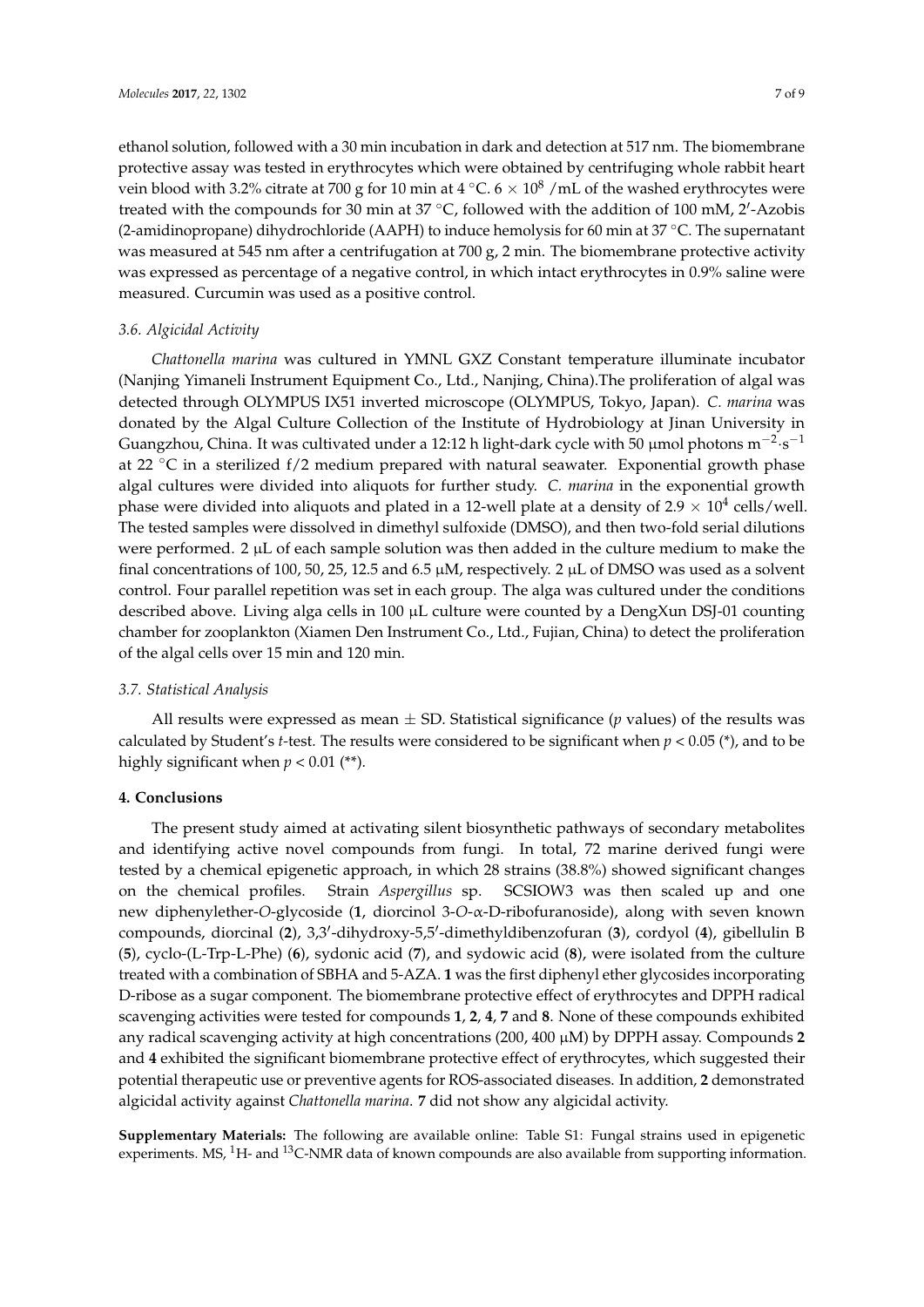ethanol solution, followed with a 30 min incubation in dark and detection at 517 nm. The biomembrane protective assay was tested in erythrocytes which were obtained by centrifuging whole rabbit heart vein blood with 3.2% citrate at 700 g for 10 min at 4  $°C.6 \times 10^8$  /mL of the washed erythrocytes were treated with the compounds for 30 min at 37  $\mathrm{^{\circ}C}$ , followed with the addition of 100 mM, 2'-Azobis (2-amidinopropane) dihydrochloride (AAPH) to induce hemolysis for 60 min at 37 °C. The supernatant was measured at 545 nm after a centrifugation at 700 g, 2 min. The biomembrane protective activity was expressed as percentage of a negative control, in which intact erythrocytes in 0.9% saline were measured. Curcumin was used as a positive control.

#### *3.6. Algicidal Activity*

*Chattonella marina* was cultured in YMNL GXZ Constant temperature illuminate incubator (Nanjing Yimaneli Instrument Equipment Co., Ltd., Nanjing, China).The proliferation of algal was detected through OLYMPUS IX51 inverted microscope (OLYMPUS, Tokyo, Japan). *C. marina* was donated by the Algal Culture Collection of the Institute of Hydrobiology at Jinan University in Guangzhou, China. It was cultivated under a 12:12 h light-dark cycle with 50 µmol photons m<sup>-2</sup>·s<sup>-1</sup> at 22 ◦C in a sterilized f/2 medium prepared with natural seawater. Exponential growth phase algal cultures were divided into aliquots for further study. *C. marina* in the exponential growth phase were divided into aliquots and plated in a 12-well plate at a density of 2.9  $\times$  10<sup>4</sup> cells/well. The tested samples were dissolved in dimethyl sulfoxide (DMSO), and then two-fold serial dilutions were performed. 2  $\mu$ L of each sample solution was then added in the culture medium to make the final concentrations of 100, 50, 25, 12.5 and 6.5  $\mu$ M, respectively. 2  $\mu$ L of DMSO was used as a solvent control. Four parallel repetition was set in each group. The alga was cultured under the conditions described above. Living alga cells in 100  $\mu$ L culture were counted by a DengXun DSJ-01 counting chamber for zooplankton (Xiamen Den Instrument Co., Ltd., Fujian, China) to detect the proliferation of the algal cells over 15 min and 120 min.

#### *3.7. Statistical Analysis*

All results were expressed as mean  $\pm$  SD. Statistical significance ( $p$  values) of the results was calculated by Student's *t*-test. The results were considered to be significant when  $p < 0.05$  (\*), and to be highly significant when  $p < 0.01$  (\*\*).

#### **4. Conclusions**

The present study aimed at activating silent biosynthetic pathways of secondary metabolites and identifying active novel compounds from fungi. In total, 72 marine derived fungi were tested by a chemical epigenetic approach, in which 28 strains (38.8%) showed significant changes on the chemical profiles. Strain *Aspergillus* sp. SCSIOW3 was then scaled up and one new diphenylether-*O*-glycoside (**1**, diorcinol 3-*O*-α-D-ribofuranoside), along with seven known compounds, diorcinal (2), 3,3'-dihydroxy-5,5'-dimethyldibenzofuran (3), cordyol (4), gibellulin B (**5**), cyclo-(L-Trp-L-Phe) (**6**), sydonic acid (**7**), and sydowic acid (**8**), were isolated from the culture treated with a combination of SBHA and 5-AZA. **1** was the first diphenyl ether glycosides incorporating D-ribose as a sugar component. The biomembrane protective effect of erythrocytes and DPPH radical scavenging activities were tested for compounds **1**, **2**, **4**, **7** and **8**. None of these compounds exhibited any radical scavenging activity at high concentrations (200, 400 µM) by DPPH assay. Compounds **2** and **4** exhibited the significant biomembrane protective effect of erythrocytes, which suggested their potential therapeutic use or preventive agents for ROS-associated diseases. In addition, **2** demonstrated algicidal activity against *Chattonella marina*. **7** did not show any algicidal activity.

**Supplementary Materials:** The following are available online: Table S1: Fungal strains used in epigenetic experiments. MS,  ${}^{1}$ H- and  ${}^{13}$ C-NMR data of known compounds are also available from supporting information.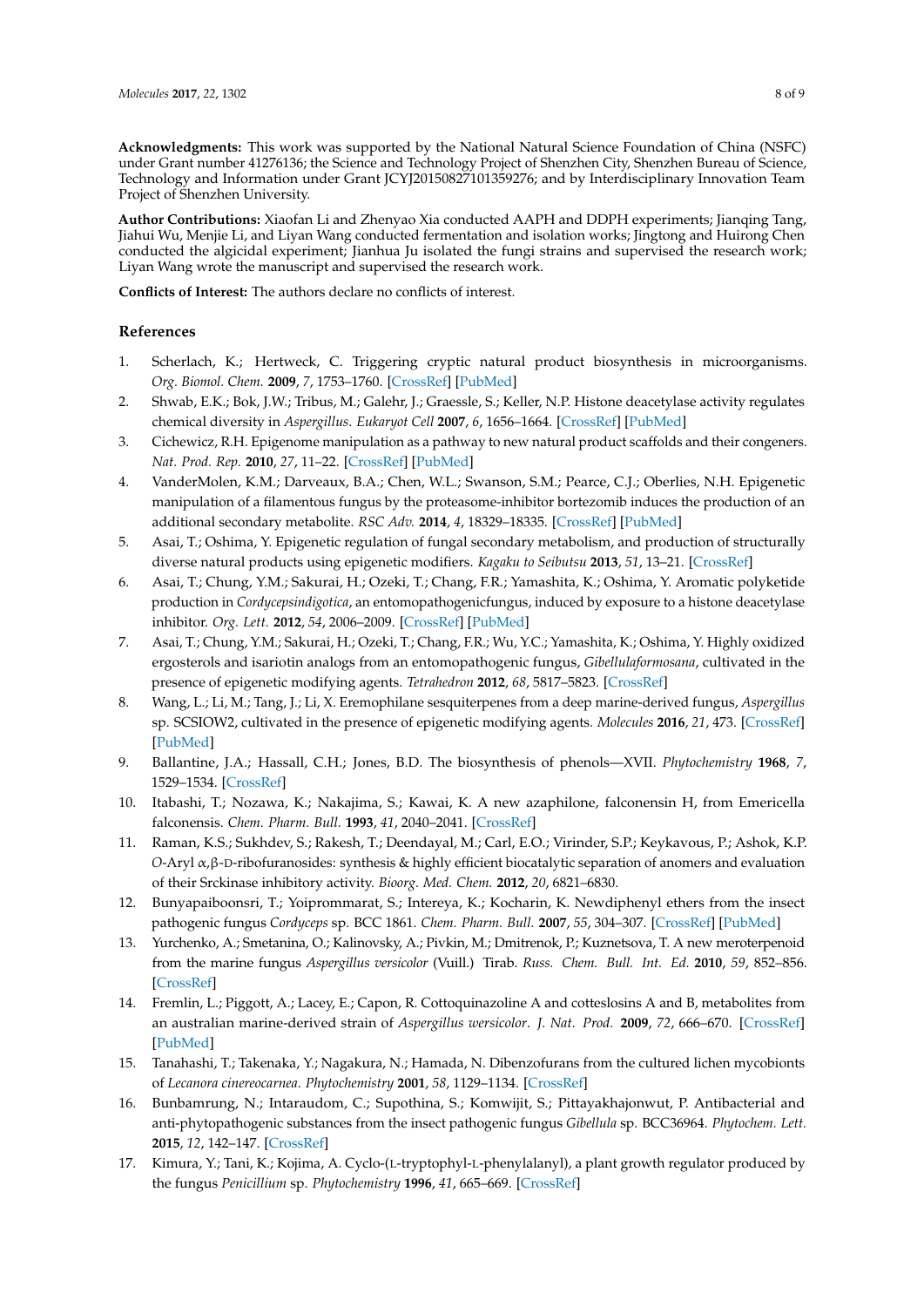**Acknowledgments:** This work was supported by the National Natural Science Foundation of China (NSFC) under Grant number 41276136; the Science and Technology Project of Shenzhen City, Shenzhen Bureau of Science, Technology and Information under Grant JCYJ20150827101359276; and by Interdisciplinary Innovation Team Project of Shenzhen University.

**Author Contributions:** Xiaofan Li and Zhenyao Xia conducted AAPH and DDPH experiments; Jianqing Tang, Jiahui Wu, Menjie Li, and Liyan Wang conducted fermentation and isolation works; Jingtong and Huirong Chen conducted the algicidal experiment; Jianhua Ju isolated the fungi strains and supervised the research work; Liyan Wang wrote the manuscript and supervised the research work.

**Conflicts of Interest:** The authors declare no conflicts of interest.

### **References**

- <span id="page-7-0"></span>1. Scherlach, K.; Hertweck, C. Triggering cryptic natural product biosynthesis in microorganisms. *Org. Biomol. Chem.* **2009**, *7*, 1753–1760. [\[CrossRef\]](http://dx.doi.org/10.1039/b821578b) [\[PubMed\]](http://www.ncbi.nlm.nih.gov/pubmed/19590766)
- <span id="page-7-1"></span>2. Shwab, E.K.; Bok, J.W.; Tribus, M.; Galehr, J.; Graessle, S.; Keller, N.P. Histone deacetylase activity regulates chemical diversity in *Aspergillus*. *Eukaryot Cell* **2007**, *6*, 1656–1664. [\[CrossRef\]](http://dx.doi.org/10.1128/EC.00186-07) [\[PubMed\]](http://www.ncbi.nlm.nih.gov/pubmed/17616629)
- 3. Cichewicz, R.H. Epigenome manipulation as a pathway to new natural product scaffolds and their congeners. *Nat. Prod. Rep.* **2010**, *27*, 11–22. [\[CrossRef\]](http://dx.doi.org/10.1039/B920860G) [\[PubMed\]](http://www.ncbi.nlm.nih.gov/pubmed/20024091)
- <span id="page-7-2"></span>4. VanderMolen, K.M.; Darveaux, B.A.; Chen, W.L.; Swanson, S.M.; Pearce, C.J.; Oberlies, N.H. Epigenetic manipulation of a filamentous fungus by the proteasome-inhibitor bortezomib induces the production of an additional secondary metabolite. *RSC Adv.* **2014**, *4*, 18329–18335. [\[CrossRef\]](http://dx.doi.org/10.1039/C4RA00274A) [\[PubMed\]](http://www.ncbi.nlm.nih.gov/pubmed/24955237)
- <span id="page-7-3"></span>5. Asai, T.; Oshima, Y. Epigenetic regulation of fungal secondary metabolism, and production of structurally diverse natural products using epigenetic modifiers. *Kagaku to Seibutsu* **2013**, *51*, 13–21. [\[CrossRef\]](http://dx.doi.org/10.1271/kagakutoseibutsu.51.13)
- <span id="page-7-4"></span>6. Asai, T.; Chung, Y.M.; Sakurai, H.; Ozeki, T.; Chang, F.R.; Yamashita, K.; Oshima, Y. Aromatic polyketide production in *Cordycepsindigotica*, an entomopathogenicfungus, induced by exposure to a histone deacetylase inhibitor. *Org. Lett.* **2012**, *54*, 2006–2009. [\[CrossRef\]](http://dx.doi.org/10.1021/ol3005062) [\[PubMed\]](http://www.ncbi.nlm.nih.gov/pubmed/22480311)
- <span id="page-7-5"></span>7. Asai, T.; Chung, Y.M.; Sakurai, H.; Ozeki, T.; Chang, F.R.; Wu, Y.C.; Yamashita, K.; Oshima, Y. Highly oxidized ergosterols and isariotin analogs from an entomopathogenic fungus, *Gibellulaformosana*, cultivated in the presence of epigenetic modifying agents. *Tetrahedron* **2012**, *68*, 5817–5823. [\[CrossRef\]](http://dx.doi.org/10.1016/j.tet.2012.05.020)
- <span id="page-7-6"></span>8. Wang, L.; Li, M.; Tang, J.; Li, X. Eremophilane sesquiterpenes from a deep marine-derived fungus, *Aspergillus* sp. SCSIOW2, cultivated in the presence of epigenetic modifying agents. *Molecules* **2016**, *21*, 473. [\[CrossRef\]](http://dx.doi.org/10.3390/molecules21040473) [\[PubMed\]](http://www.ncbi.nlm.nih.gov/pubmed/27096861)
- <span id="page-7-7"></span>9. Ballantine, J.A.; Hassall, C.H.; Jones, B.D. The biosynthesis of phenols—XVII. *Phytochemistry* **1968**, *7*, 1529–1534. [\[CrossRef\]](http://dx.doi.org/10.1016/S0031-9422(00)88601-X)
- <span id="page-7-8"></span>10. Itabashi, T.; Nozawa, K.; Nakajima, S.; Kawai, K. A new azaphilone, falconensin H, from Emericella falconensis. *Chem. Pharm. Bull.* **1993**, *41*, 2040–2041. [\[CrossRef\]](http://dx.doi.org/10.1248/cpb.41.2040)
- <span id="page-7-9"></span>11. Raman, K.S.; Sukhdev, S.; Rakesh, T.; Deendayal, M.; Carl, E.O.; Virinder, S.P.; Keykavous, P.; Ashok, K.P. *O*-Aryl α,β-D-ribofuranosides: synthesis & highly efficient biocatalytic separation of anomers and evaluation of their Srckinase inhibitory activity. *Bioorg. Med. Chem.* **2012**, *20*, 6821–6830.
- <span id="page-7-10"></span>12. Bunyapaiboonsri, T.; Yoiprommarat, S.; Intereya, K.; Kocharin, K. Newdiphenyl ethers from the insect pathogenic fungus *Cordyceps* sp. BCC 1861. *Chem. Pharm. Bull.* **2007**, *55*, 304–307. [\[CrossRef\]](http://dx.doi.org/10.1248/cpb.55.304) [\[PubMed\]](http://www.ncbi.nlm.nih.gov/pubmed/17268106)
- <span id="page-7-11"></span>13. Yurchenko, A.; Smetanina, O.; Kalinovsky, A.; Pivkin, M.; Dmitrenok, P.; Kuznetsova, T. A new meroterpenoid from the marine fungus *Aspergillus versicolor* (Vuill.) Tirab. *Russ. Chem. Bull. Int. Ed.* **2010**, *59*, 852–856. [\[CrossRef\]](http://dx.doi.org/10.1007/s11172-010-0173-5)
- <span id="page-7-12"></span>14. Fremlin, L.; Piggott, A.; Lacey, E.; Capon, R. Cottoquinazoline A and cotteslosins A and B, metabolites from an australian marine-derived strain of *Aspergillus wersicolor*. *J. Nat. Prod.* **2009**, *72*, 666–670. [\[CrossRef\]](http://dx.doi.org/10.1021/np800777f) [\[PubMed\]](http://www.ncbi.nlm.nih.gov/pubmed/19245260)
- <span id="page-7-13"></span>15. Tanahashi, T.; Takenaka, Y.; Nagakura, N.; Hamada, N. Dibenzofurans from the cultured lichen mycobionts of *Lecanora cinereocarnea*. *Phytochemistry* **2001**, *58*, 1129–1134. [\[CrossRef\]](http://dx.doi.org/10.1016/S0031-9422(01)00394-6)
- <span id="page-7-14"></span>16. Bunbamrung, N.; Intaraudom, C.; Supothina, S.; Komwijit, S.; Pittayakhajonwut, P. Antibacterial and anti-phytopathogenic substances from the insect pathogenic fungus *Gibellula* sp. BCC36964. *Phytochem. Lett.* **2015**, *12*, 142–147. [\[CrossRef\]](http://dx.doi.org/10.1016/j.phytol.2015.03.011)
- <span id="page-7-15"></span>17. Kimura, Y.; Tani, K.; Kojima, A. Cyclo-(L-tryptophyl-L-phenylalanyl), a plant growth regulator produced by the fungus *Penicillium* sp. *Phytochemistry* **1996**, *41*, 665–669. [\[CrossRef\]](http://dx.doi.org/10.1016/0031-9422(95)00693-1)